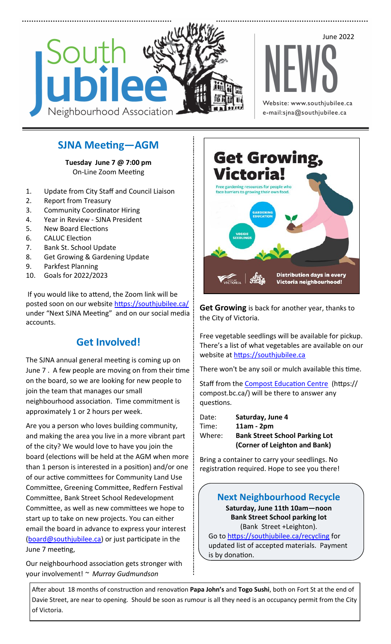

## **SJNA Meeting—AGM**

**Tuesday June 7 @ 7:00 pm**  On-Line Zoom Meeting

- 1. Update from City Staff and Council Liaison
- 2. Report from Treasury
- 3. Community Coordinator Hiring
- 4. Year in Review SJNA President
- 5. New Board Elections
- 6. CALUC Election
- 7. Bank St. School Update
- 8. Get Growing & Gardening Update
- 9. Parkfest Planning
- 10. Goals for 2022/2023

If you would like to attend, the Zoom link will be posted soon on our website https://southjubilee.ca/ under "Next SJNA Meeting" and on our social media accounts.

# **Get Involved!**

The SJNA annual general meeting is coming up on June 7 . A few people are moving on from their time on the board, so we are looking for new people to join the team that manages our small neighbourhood association. Time commitment is approximately 1 or 2 hours per week.

Are you a person who loves building community, and making the area you live in a more vibrant part of the city? We would love to have you join the board (elections will be held at the AGM when more than 1 person is interested in a position) and/or one of our active committees for Community Land Use Committee, Greening Committee, Redfern Festival Committee, Bank Street School Redevelopment Committee, as well as new committees we hope to start up to take on new projects. You can either email the board in advance to express your interest [\(board@southjubilee.ca\)](mailto:board@southjubilee.ca) or just participate in the June 7 meeting,

Our neighbourhood association gets stronger with your involvement! *~ Murray Gudmundson* 



**Get Growing** is back for another year, thanks to the City of Victoria.

Free vegetable seedlings will be available for pickup. There's a list of what vegetables are available on our website at<https://southjubilee.ca>

There won't be any soil or mulch available this time.

Staff from the [Compost Education Centre](https://compost.bc.ca/) (https:// compost.bc.ca/) will be there to answer any questions.

| Date:  | Saturday, June 4                      |
|--------|---------------------------------------|
| Time:  | $11am - 2pm$                          |
| Where: | <b>Bank Street School Parking Lot</b> |
|        | (Corner of Leighton and Bank)         |

Bring a container to carry your seedlings. No registration required. Hope to see you there!

### **Next Neighbourhood Recycle**

**Saturday, June 11th 10am—noon Bank Street School parking lot**  (Bank Street +Leighton).

Go to [https://southjubilee.ca/recycling](https://southjubilee.ca/recycling#accepted) for updated list of accepted materials. Payment is by donation.

After about 18 months of construction and renovation **Papa John's** and **Togo Sushi**, both on Fort St at the end of Davie Street, are near to opening. Should be soon as rumour is all they need is an occupancy permit from the City of Victoria.